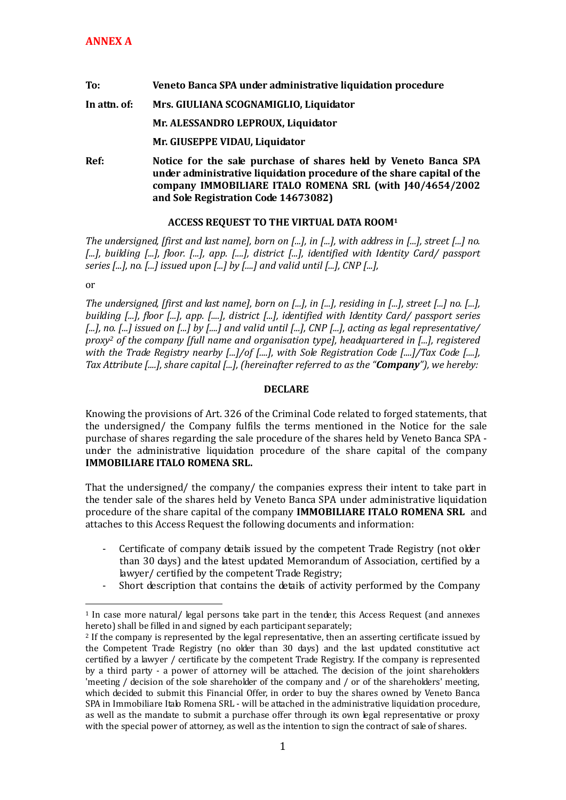## **To: Veneto Banca SPA under administrative liquidation procedure In attn. of: Mrs. GIULIANA SCOGNAMIGLIO, Liquidator Mr. ALESSANDRO LEPROUX, Liquidator Mr. GIUSEPPE VIDAU, Liquidator Ref: Notice for the sale purchase of shares held by Veneto Banca SPA under administrative liquidation procedure of the share capital of the company IMMOBILIARE ITALO ROMENA SRL (with J40/4654/2002**

**and Sole Registration Code 14673082)** 

## **ACCESS REQUEST TO THE VIRTUAL DATA ROOM<sup>1</sup>**

*The undersigned, [first and last name], born on [...], in [...], with address in [...], street [...] no. [...], building [...], floor. [...], app. [....], district [...], identified with Identity Card/ passport series [...], no. [...] issued upon [...] by [....] and valid until [...], CNP [...],* 

or

<u>.</u>

*The undersigned, [first and last name], born on [...], in [...], residing in [...], street [...] no. [...], building [...], floor [...], app. [....], district [...], identified with Identity Card/ passport series [...], no. [...] issued on [...] by [....] and valid until [...], CNP [...], acting as legal representative/ proxy<sup>2</sup> of the company [full name and organisation type], headquartered in [...], registered with the Trade Registry nearby [...]/of [....], with Sole Registration Code [....]/Tax Code [....], Tax Attribute [....], share capital [...], (hereinafter referred to as the "Company"), we hereby:* 

## **DECLARE**

Knowing the provisions of Art. 326 of the Criminal Code related to forged statements, that the undersigned/ the Company fulfils the terms mentioned in the Notice for the sale purchase of shares regarding the sale procedure of the shares held by Veneto Banca SPA under the administrative liquidation procedure of the share capital of the company **IMMOBILIARE ITALO ROMENA SRL.**

That the undersigned/ the company/ the companies express their intent to take part in the tender sale of the shares held by Veneto Banca SPA under administrative liquidation procedure of the share capital of the company **IMMOBILIARE ITALO ROMENA SRL** and attaches to this Access Request the following documents and information:

- Certificate of company details issued by the competent Trade Registry (not older than 30 days) and the latest updated Memorandum of Association, certified by a lawyer/ certified by the competent Trade Registry;
- Short description that contains the details of activity performed by the Company

<sup>1</sup> In case more natural/ legal persons take part in the tender, this Access Request (and annexes hereto) shall be filled in and signed by each participant separately;

<sup>&</sup>lt;sup>2</sup> If the company is represented by the legal representative, then an asserting certificate issued by the Competent Trade Registry (no older than 30 days) and the last updated constitutive act certified by a lawyer / certificate by the competent Trade Registry. If the company is represented by a third party - a power of attorney will be attached. The decision of the joint shareholders 'meeting / decision of the sole shareholder of the company and / or of the shareholders' meeting, which decided to submit this Financial Offer, in order to buy the shares owned by Veneto Banca SPA in Immobiliare Italo Romena SRL - will be attached in the administrative liquidation procedure, as well as the mandate to submit a purchase offer through its own legal representative or proxy with the special power of attorney, as well as the intention to sign the contract of sale of shares.